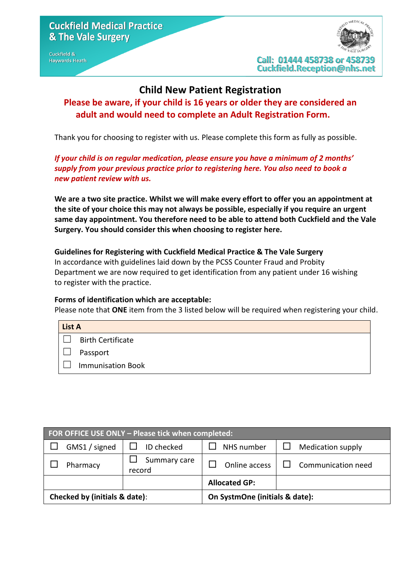#### **Cuckfield & Haywards Heath**

### **Child New Patient Registration**

## **Please be aware, if your child is 16 years or older they are considered an adult and would need to complete an Adult Registration Form.**

Thank you for choosing to register with us. Please complete this form as fully as possible.

*If your child is on regular medication, please ensure you have a minimum of 2 months' supply from your previous practice prior to registering here. You also need to book a new patient review with us.*

**We are a two site practice. Whilst we will make every effort to offer you an appointment at the site of your choice this may not always be possible, especially if you require an urgent same day appointment. You therefore need to be able to attend both Cuckfield and the Vale Surgery. You should consider this when choosing to register here.**

**Guidelines for Registering with Cuckfield Medical Practice & The Vale Surgery** In accordance with guidelines laid down by the PCSS Counter Fraud and Probity Department we are now required to get identification from any patient under 16 wishing to register with the practice.

#### **Forms of identification which are acceptable:**

Please note that **ONE** item from the 3 listed below will be required when registering your child.

| <b>List A</b> |                          |
|---------------|--------------------------|
|               | <b>Birth Certificate</b> |
|               | Passport                 |
|               | <b>Immunisation Book</b> |

| FOR OFFICE USE ONLY - Please tick when completed: |               |                                |               |                           |
|---------------------------------------------------|---------------|--------------------------------|---------------|---------------------------|
|                                                   | GMS1 / signed | ID checked                     | NHS number    | <b>Medication supply</b>  |
|                                                   | Pharmacy      | Summary care<br>record         | Online access | $\Box$ Communication need |
|                                                   |               | <b>Allocated GP:</b>           |               |                           |
| Checked by (initials & date):                     |               | On SystmOne (initials & date): |               |                           |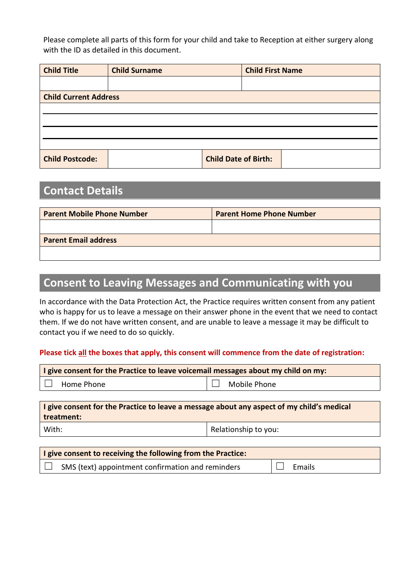Please complete all parts of this form for your child and take to Reception at either surgery along with the ID as detailed in this document.

| <b>Child Title</b>           | <b>Child Surname</b> | <b>Child First Name</b>     |  |
|------------------------------|----------------------|-----------------------------|--|
|                              |                      |                             |  |
| <b>Child Current Address</b> |                      |                             |  |
|                              |                      |                             |  |
|                              |                      |                             |  |
|                              |                      |                             |  |
|                              |                      |                             |  |
| <b>Child Postcode:</b>       |                      | <b>Child Date of Birth:</b> |  |

## **Contact Details**

| <b>Parent Mobile Phone Number</b> | <b>Parent Home Phone Number</b> |  |
|-----------------------------------|---------------------------------|--|
|                                   |                                 |  |
| <b>Parent Email address</b>       |                                 |  |
|                                   |                                 |  |

## **Consent to Leaving Messages and Communicating with you**

In accordance with the Data Protection Act, the Practice requires written consent from any patient who is happy for us to leave a message on their answer phone in the event that we need to contact them. If we do not have written consent, and are unable to leave a message it may be difficult to contact you if we need to do so quickly.

#### **Please tick all the boxes that apply, this consent will commence from the date of registration:**

| I give consent for the Practice to leave voicemail messages about my child on my: |  |  |  |  |
|-----------------------------------------------------------------------------------|--|--|--|--|
| Mobile Phone<br>Home Phone                                                        |  |  |  |  |
|                                                                                   |  |  |  |  |

| I give consent for the Practice to leave a message about any aspect of my child's medical |  |  |
|-------------------------------------------------------------------------------------------|--|--|
| treatment:                                                                                |  |  |
| Relationship to you:<br>With:                                                             |  |  |

| I give consent to receiving the following from the Practice: |                                                   |  |        |
|--------------------------------------------------------------|---------------------------------------------------|--|--------|
|                                                              | SMS (text) appointment confirmation and reminders |  | Emails |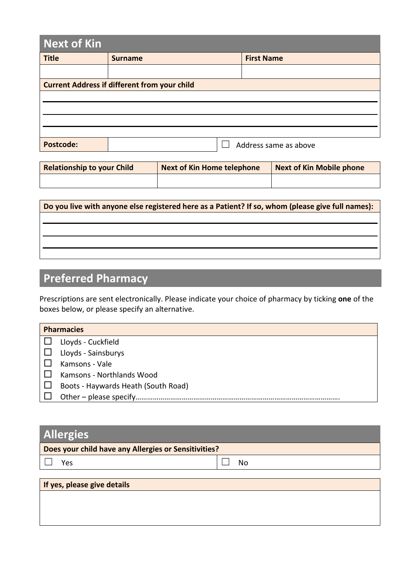| Next of Kin      |                                                     |                       |  |
|------------------|-----------------------------------------------------|-----------------------|--|
| <b>Title</b>     | <b>Surname</b>                                      | <b>First Name</b>     |  |
|                  |                                                     |                       |  |
|                  | <b>Current Address if different from your child</b> |                       |  |
|                  |                                                     |                       |  |
|                  |                                                     |                       |  |
|                  |                                                     |                       |  |
|                  |                                                     |                       |  |
| <b>Postcode:</b> |                                                     | Address same as above |  |

| Relationship to your Child | <b>Next of Kin Home telephone</b> | Next of Kin Mobile phone |
|----------------------------|-----------------------------------|--------------------------|
|                            |                                   |                          |

| Do you live with anyone else registered here as a Patient? If so, whom (please give full names): |
|--------------------------------------------------------------------------------------------------|
|                                                                                                  |
|                                                                                                  |
|                                                                                                  |
|                                                                                                  |

# **Preferred Pharmacy**

Prescriptions are sent electronically. Please indicate your choice of pharmacy by ticking **one** of the boxes below, or please specify an alternative.

| <b>Pharmacies</b>                   |  |  |
|-------------------------------------|--|--|
| Lloyds - Cuckfield                  |  |  |
| Lloyds - Sainsburys                 |  |  |
| Kamsons - Vale                      |  |  |
| Kamsons - Northlands Wood           |  |  |
| Boots - Haywards Heath (South Road) |  |  |
| Other - please specify.             |  |  |

| <b>Allergies</b>                                     |    |  |
|------------------------------------------------------|----|--|
| Does your child have any Allergies or Sensitivities? |    |  |
| Yes                                                  | No |  |
| If yes, please give details                          |    |  |
|                                                      |    |  |
|                                                      |    |  |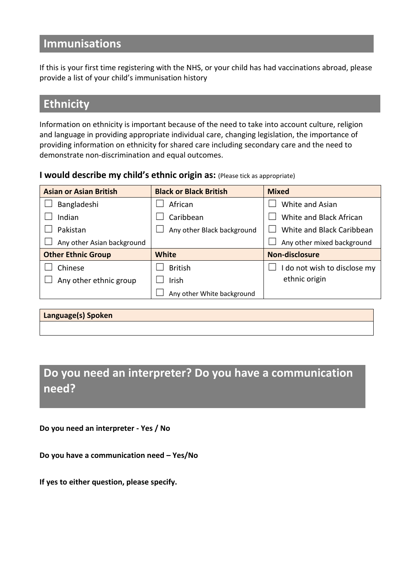## **Immunisations**

If this is your first time registering with the NHS, or your child has had vaccinations abroad, please provide a list of your child's immunisation history

## **Ethnicity**

Information on ethnicity is important because of the need to take into account culture, religion and language in providing appropriate individual care, changing legislation, the importance of providing information on ethnicity for shared care including secondary care and the need to demonstrate non-discrimination and equal outcomes.

**I would describe my child's ethnic origin as:** (Please tick as appropriate)

| <b>Asian or Asian British</b> | <b>Black or Black British</b> | <b>Mixed</b>                 |
|-------------------------------|-------------------------------|------------------------------|
| Bangladeshi                   | African                       | White and Asian              |
| Indian                        | Caribbean                     | White and Black African      |
| Pakistan                      | Any other Black background    | White and Black Caribbean    |
| Any other Asian background    |                               | Any other mixed background   |
|                               |                               |                              |
| <b>Other Ethnic Group</b>     | White                         | <b>Non-disclosure</b>        |
| Chinese                       | <b>British</b>                | I do not wish to disclose my |
| Any other ethnic group        | Irish                         | ethnic origin                |
|                               | Any other White background    |                              |

**Language(s) Spoken** 

**Do you need an interpreter? Do you have a communication need?** 

**Do you need an interpreter - Yes / No**

**Do you have a communication need – Yes/No**

**If yes to either question, please specify.**